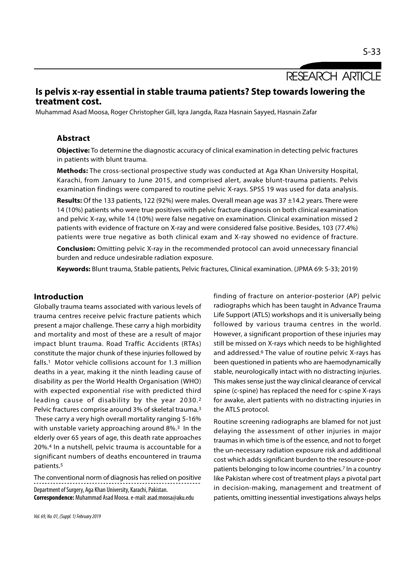RESEARCH ARTICLE

# Is pelvis x-ray essential in stable trauma patients? Step towards lowering the treatment cost.

Muhammad Asad Moosa, Roger Christopher Gill, Iqra Jangda, Raza Hasnain Sayyed, Hasnain Zafar

#### Abstract

**Objective:** To determine the diagnostic accuracy of clinical examination in detecting pelvic fractures in patients with blunt trauma.

Methods: The cross-sectional prospective study was conducted at Aga Khan University Hospital, Karachi, from January to June 2015, and comprised alert, awake blunt-trauma patients. Pelvis examination findings were compared to routine pelvic X-rays. SPSS 19 was used for data analysis.

**Results:** Of the 133 patients, 122 (92%) were males. Overall mean age was  $37 \pm 14.2$  years. There were 14 (10%) patients who were true positives with pelvic fracture diagnosis on both clinical examination and pelvic X-ray, while 14 (10%) were false negative on examination. Clinical examination missed 2 patients with evidence of fracture on X-ray and were considered false positive. Besides, 103 (77.4%) patients were true negative as both clinical exam and X-ray showed no evidence of fracture.

**Conclusion:** Omitting pelvic X-ray in the recommended protocol can avoid unnecessary financial burden and reduce undesirable radiation exposure.

Keywords: Blunt trauma, Stable patients, Pelvic fractures, Clinical examination. (JPMA 69: S-33; 2019)

## Introduction

Globally trauma teams associated with various levels of trauma centres receive pelvic fracture patients which present a major challenge. These carry a high morbidity and mortality and most of these are a result of major impact blunt trauma. Road Traffic Accidents (RTAs) constitute the major chunk of these injuries followed by falls.1 Motor vehicle collisions account for 1.3 million deaths in a year, making it the ninth leading cause of disability as per the World Health Organisation (WHO) with expected exponential rise with predicted third leading cause of disability by the year 2030.2 Pelvic fractures comprise around 3% of skeletal trauma.3 These carry a very high overall mortality ranging 5-16% with unstable variety approaching around 8%.<sup>3</sup> In the elderly over 65 years of age, this death rate approaches 20%.4 In a nutshell, pelvic trauma is accountable for a significant numbers of deaths encountered in trauma patients.5

The conventional norm of diagnosis has relied on positive Department of Surgery, Aga Khan University, Karachi, Pakistan. Correspondence: Muhammad Asad Moosa. e-mail: asad.moosa@aku.edu

finding of fracture on anterior-posterior (AP) pelvic radiographs which has been taught in Advance Trauma Life Support (ATLS) workshops and it is universally being followed by various trauma centres in the world. However, a significant proportion of these injuries may still be missed on X-rays which needs to be highlighted and addressed.6 The value of routine pelvic X-rays has been questioned in patients who are haemodynamically stable, neurologically intact with no distracting injuries. This makes sense just the way clinical clearance of cervical spine (c-spine) has replaced the need for c-spine X-rays for awake, alert patients with no distracting injuries in the ATLS protocol.

Routine screening radiographs are blamed for not just delaying the assessment of other injuries in major traumas in which time is of the essence, and not to forget the un-necessary radiation exposure risk and additional cost which adds significant burden to the resource-poor patients belonging to low income countries.7 In a country like Pakistan where cost of treatment plays a pivotal part in decision-making, management and treatment of patients, omitting inessential investigations always helps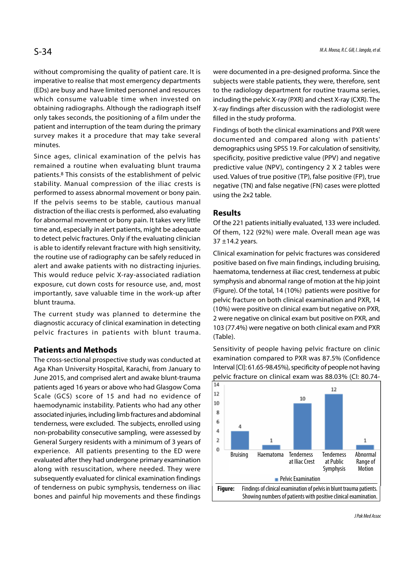without compromising the quality of patient care. It is imperative to realise that most emergency departments (EDs) are busy and have limited personnel and resources which consume valuable time when invested on obtaining radiographs. Although the radiograph itself only takes seconds, the positioning of a film under the patient and interruption of the team during the primary survey makes it a procedure that may take several minutes.

Since ages, clinical examination of the pelvis has remained a routine when evaluating blunt trauma patients.8 This consists of the establishment of pelvic stability. Manual compression of the iliac crests is performed to assess abnormal movement or bony pain. If the pelvis seems to be stable, cautious manual distraction of the iliac crests is performed, also evaluating for abnormal movement or bony pain. It takes very little time and, especially in alert patients, might be adequate to detect pelvic fractures. Only if the evaluating clinician is able to identify relevant fracture with high sensitivity, the routine use of radiography can be safely reduced in alert and awake patients with no distracting injuries. This would reduce pelvic X-ray-associated radiation exposure, cut down costs for resource use, and, most importantly, save valuable time in the work-up after blunt trauma.

The current study was planned to determine the diagnostic accuracy of clinical examination in detecting pelvic fractures in patients with blunt trauma.

## Patients and Methods

The cross-sectional prospective study was conducted at Aga Khan University Hospital, Karachi, from January to June 2015, and comprised alert and awake blunt-trauma patients aged 16 years or above who had Glasgow Coma<br>Scale (CCS) scare of 15 and had no ovidence of Scale (GCS) score of 15 and had no evidence of  $\begin{bmatrix} 12 \\ 10 \end{bmatrix}$ haemodynamic instability. Patients who had any other  $\begin{bmatrix} 10 \\ 3 \end{bmatrix}$ associated injuries, including limb fractures and abdominal  $\begin{bmatrix} 8 \\ 1 \end{bmatrix}$ <br>tenderness were excluded. The subjects enrolled using tenderness, were excluded. The subjects, enrolled using  $\begin{bmatrix} 6 & 4 \end{bmatrix}$ non-probability consecutive sampling, were assessed by  $\begin{bmatrix} 4 \\ 2 \end{bmatrix}$ General Surgery residents with a minimum of 3 years of  $\begin{bmatrix} 2 \\ 4 \end{bmatrix}$ <br>experience All patients presenting to the ED were experience. All patients presenting to the ED were evaluated after they had undergone primary examination along with resuscitation, where needed. They were subsequently evaluated for clinical examination findings of tenderness on pubic symphysis, tenderness on iliac  $\|\mathbf{F}_\text{source}\|$ bones and painful hip movements and these findings

were documented in a pre-designed proforma. Since the subjects were stable patients, they were, therefore, sent to the radiology department for routine trauma series, including the pelvic X-ray (PXR) and chest X-ray (CXR). The X-ray findings after discussion with the radiologist were filled in the study proforma.

Findings of both the clinical examinations and PXR were documented and compared along with patients' demographics using SPSS 19. For calculation of sensitivity, specificity, positive predictive value (PPV) and negative predictive value (NPV), contingency 2 X 2 tables were used. Values of true positive (TP), false positive (FP), true negative (TN) and false negative (FN) cases were plotted using the 2x2 table.

#### Results

Of the 221 patients initially evaluated, 133 were included. Of them, 122 (92%) were male. Overall mean age was 37 ±14.2 years.

Clinical examination for pelvic fractures was considered positive based on five main findings, including bruising, haematoma, tenderness at iliac crest, tenderness at pubic symphysis and abnormal range of motion at the hip joint (Figure). Of the total, 14 (10%) patients were positive for pelvic fracture on both clinical examination and PXR, 14 (10%) were positive on clinical exam but negative on PXR, 2 were negative on clinical exam but positive on PXR, and 103 (77.4%) were negative on both clinical exam and PXR (Table).

Sensitivity of people having pelvic fracture on clinic examination compared to PXR was 87.5% (Confidence Interval [CI]: 61.65-98.45%), specificity of people not having pelvic fracture on clinical exam was 88.03% (CI: 80.74-

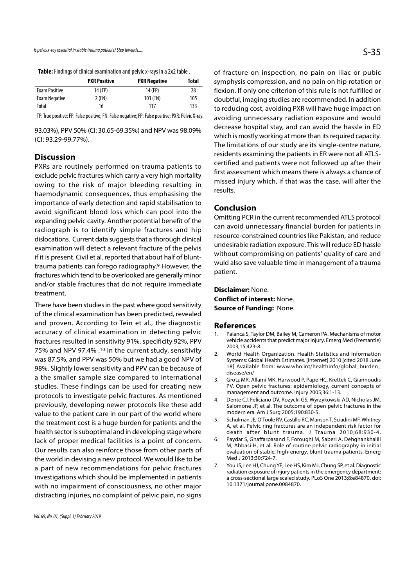|                      | <b>PXR Positive</b> | <b>PXR Negative</b> | Total |
|----------------------|---------------------|---------------------|-------|
| <b>Exam Positive</b> | 14 (TP)             | 14 (FP)             | 28    |
| Exam Negative        | 2 (FN)              | $103$ (TN)          | 105   |
| Total                | 16                  | 117                 | 133   |

TP: True positive; FP: False positive; FN: False negative; FP: False positive; PXR: Pelvic X-ray.

93.03%), PPV 50% (CI: 30.65-69.35%) and NPV was 98.09% (CI: 93.29-99.77%).

### **Discussion**

PXRs are routinely performed on trauma patients to exclude pelvic fractures which carry a very high mortality owing to the risk of major bleeding resulting in haemodynamic consequences, thus emphasising the importance of early detection and rapid stabilisation to avoid significant blood loss which can pool into the expanding pelvic cavity. Another potential benefit of the radiograph is to identify simple fractures and hip dislocations. Current data suggests that a thorough clinical examination will detect a relevant fracture of the pelvis if it is present. Civil et al. reported that about half of blunttrauma patients can forego radiography.9 However, the fractures which tend to be overlooked are generally minor and/or stable fractures that do not require immediate treatment.

There have been studies in the past where good sensitivity of the clinical examination has been predicted, revealed and proven. According to Tein et al., the diagnostic accuracy of clinical examination in detecting pelvic <sub>1.</sub> Palanca S, Taylor DM, Bailey M, Cameron PA. Mechanisms of motor fractures resulted in sensitivity 91%, specificity 92%, PPV 75% and NPV 97.4% .<sup>10</sup> In the current study, sensitivity 2005, 19.729-8.<br>World Health Organization. Health Statistics and Information was 87.5%, and PPV was 50% but we had a good NPV of 98%. Slightly lower sensitivity and PPV can be because of a the smaller sample size compared to international as Grotz MR. Allami MK. Harwood P. Pape HC. Krettek C. Giannoudis studies. These findings can be used for creating new protocols to investigate pelvic fractures. As mentioned<br>A Dente CL Feliciano DV. Rozycki GS. Wyrzykowski AD. Nicholas IM. previously, developing newer protocols like these add value to the patient care in our part of the world where modern era. Am J Surg 2005;190:830-5.<br>Under the state of the state of the state of the schulman JE. O'Toole RV. Castillo RC. Manson T. Sciadini ME. Whitney the treatment cost is a huge burden for patients and the health sector is suboptimal and in developing stage where death after blunt trauma. J Trauma 2010;68:930-4. lack of proper medical facilities is a point of concern. 6. Our results can also reinforce those from other parts of the world in devising a new protocol. We would like to be lacked and the U 2013;30:724-7.<br>a nart of new recommendations for nelvis fractures and U.S. Lee HJ, Chung YE, Lee HS, Kim MJ, Chung SP, et al. Diagnostic a part of new recommendations for pelvic fractures investigations which should be implemented in patients with no impairment of consciousness, no other major distracting injuries, no complaint of pelvic pain, no signs

of fracture on inspection, no pain on iliac or pubic symphysis compression, and no pain on hip rotation or flexion. If only one criterion of this rule is not fulfilled or doubtful, imaging studies are recommended. In addition to reducing cost, avoiding PXR will have huge impact on avoiding unnecessary radiation exposure and would decrease hospital stay, and can avoid the hassle in ED which is mostly working at more than its required capacity. The limitations of our study are its single-centre nature, residents examining the patients in ER were not all ATLScertified and patients were not followed up after their first assessment which means there is always a chance of missed injury which, if that was the case, will alter the results.

#### Conclusion

Omitting PCR in the current recommended ATLS protocol can avoid unnecessary financial burden for patients in resource-constrained countries like Pakistan, and reduce undesirable radiation exposure. This will reduce ED hassle without compromising on patients' quality of care and wuld also save valuable time in management of a trauma patient. Without compromising on patients' quality of care and<br>
wuld also save valuable time in management of a trauma<br>
patient.<br> **Disclaimer:** None.<br> **Conflict of interest:** None.<br> **References**<br>
1. Palanca S, Taylor DM, Bailey M,

## Disclaimer: None. Conflict of interest: None. Source of Funding: None.

#### References

- vehicle accidents that predict major injury. Emerg Med (Fremantle) 2003;15:423-8.
- **Disclaimer:** None.<br> **Conflict of interest:** None.<br> **Source of Funding:** None.<br> **References**<br>
1. Palanca 5, Taylor DM, Bailey M, Cameron PA. Mechanisms of motor<br>
vehicle accidents that predict major injury. Emerg Med (Frem Systems: Global Health Estimates. [Internet] 2010 [cited 2018 June 18] Available from: www.who.int/healthinfo/global\_burden\_ disease/en/ **Source of Funding:** None.<br> **References**<br>
1. Palanca S, Taylor DM, Bailey M, Cameron PA. Mechanisms of motor<br>
vehicle accidents that predict major injury. Emerg Med (Fremantle)<br>
2003;15:423-8.<br>
2. World Health Organization **References**<br>
1. Palanca S, Taylor DM, Bailey M, Cameron PA. Mechanisms of motor<br>
vehicle accidents that predict major injury. Emerg Med (Fremantle)<br>
2003;15:423-8.<br>
2. World Health Organization. Health Statistics and Info vehicle accidents that predict major injury. Emerg Med (Fremantle)<br>2003;15:423-8.<br>2. World Health Organization. Health Statistics and Information<br>5ystems: Global Health Estimates. [Internet] 2010 [cited 2018 June<br>18] Avail World Health Organization. Health Statistics and Information<br>Systems: Global Health Estimates. [Internet] 2010 [cited 2018 June<br>18] Available from: www.who.int/healthinfo/global\_burden\_<br>disease/en/<br>Grotz MR, Allami MK, Har
- PV. Open pelvic fractures: epidemiology, current concepts of management and outcome. Injury 2005;36:1-13.
- Salomone JP, et al. The outcome of open pelvic fractures in the modern era. Am J Surg 2005;190:830-5.
- A, et al. Pelvic ring fractures are an independent risk factor for
- Systems: Global Health Estimates. [Internet] 2010 [cited 2018 June<br>18] Available from: www.who.int/healthinfo/global\_burden\_<br>diesase/en/<br>6. Grotz MR, Allami MK, Harwood P, Pape HC, Krettek C, Giannoudis<br>PV. Open pelvic fra M, Abbasi H, et al. Role of routine pelvic radiography in initial evaluation of stable, high-energy, blunt trauma patients. Emerg Med J 2013;30:724-7.
- PV. Open pelvic fractures: epidemiology, current concepts of<br>management and outcome. Injury 2005;36:1-13.<br>A. Dente CJ, Feliciano DV, Rozycki GS, Wyrzykowski AD, Nicholas JM,<br>Salomone JP, et al. The outcome of open pelvic f radiation exposure of injury patients in the emergency department: a cross-sectional large scaled study. PLoS One 2013;8:e84870. doi: 10.1371/journal.pone.0084870.